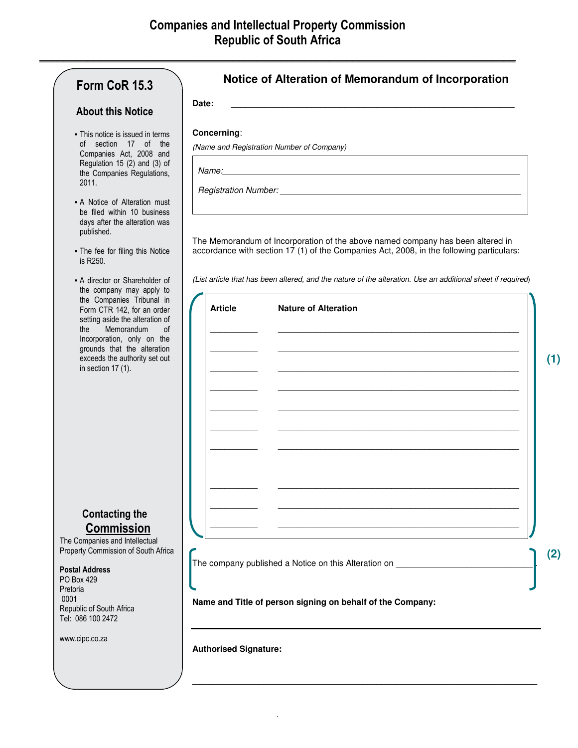**\_\_\_\_\_\_\_\_\_\_\_\_\_\_\_\_\_\_\_\_\_\_\_\_\_\_\_\_\_\_\_\_\_\_\_\_\_\_\_\_\_\_\_\_\_\_\_\_\_\_\_\_\_\_\_\_\_\_\_\_\_\_\_\_\_\_\_\_\_\_\_\_\_\_\_\_\_\_\_**

| Form CoR 15.3                                                                                                                                                                                                                                                                                                        | Notice of Alteration of Memorandum of Incorporation                                                                                                                        |
|----------------------------------------------------------------------------------------------------------------------------------------------------------------------------------------------------------------------------------------------------------------------------------------------------------------------|----------------------------------------------------------------------------------------------------------------------------------------------------------------------------|
| <b>About this Notice</b>                                                                                                                                                                                                                                                                                             | Date:                                                                                                                                                                      |
| • This notice is issued in terms<br>of section 17 of the<br>Companies Act, 2008 and<br>Regulation 15 (2) and (3) of<br>the Companies Regulations,<br>2011.<br>• A Notice of Alteration must<br>be filed within 10 business                                                                                           | Concerning:<br>(Name and Registration Number of Company)                                                                                                                   |
| days after the alteration was<br>published.<br>• The fee for filing this Notice<br>is R250.                                                                                                                                                                                                                          | The Memorandum of Incorporation of the above named company has been altered in<br>accordance with section 17 (1) of the Companies Act, 2008, in the following particulars: |
| • A director or Shareholder of<br>the company may apply to<br>the Companies Tribunal in<br>Form CTR 142, for an order<br>setting aside the alteration of<br>Memorandum<br>the<br><sub>of</sub><br>Incorporation, only on the<br>grounds that the alteration<br>exceeds the authority set out<br>in section $17(1)$ . | (List article that has been altered, and the nature of the alteration. Use an additional sheet if required)<br><b>Article</b><br><b>Nature of Alteration</b><br>(1)        |
| <b>Contacting the</b><br><b>Commission</b><br>The Companies and Intellectual<br>Property Commission of South Africa<br><b>Postal Address</b><br>PO Box 429<br>Pretoria<br>0001<br>Republic of South Africa<br>Tel: 086 100 2472<br>www.cipc.co.za                                                                    | (2)<br>The company published a Notice on this Alteration on<br>Name and Title of person signing on behalf of the Company:<br><b>Authorised Signature:</b>                  |

.

**\_\_\_\_\_\_\_\_\_\_\_\_\_\_\_\_\_\_\_\_\_\_\_\_\_\_\_\_\_\_\_\_\_\_\_\_\_\_\_\_\_\_\_\_\_\_\_\_\_\_\_\_\_\_\_\_\_\_\_\_\_\_\_\_\_\_\_\_\_\_\_\_\_**